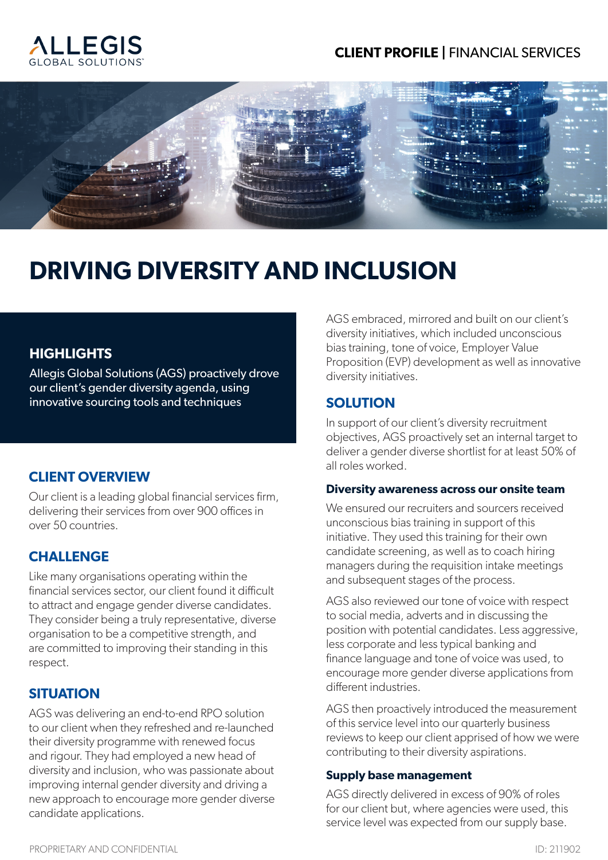# **CLIENT PROFILE |** FINANCIAL SERVICES





# **DRIVING DIVERSITY AND INCLUSION**

# **HIGHLIGHTS**

Allegis Global Solutions (AGS) proactively drove our client's gender diversity agenda, using innovative sourcing tools and techniques

## **CLIENT OVERVIEW**

Our client is a leading global financial services firm, delivering their services from over 900 offices in over 50 countries.

## **CHALLENGE**

Like many organisations operating within the financial services sector, our client found it difficult to attract and engage gender diverse candidates. They consider being a truly representative, diverse organisation to be a competitive strength, and are committed to improving their standing in this respect.

## **SITUATION**

AGS was delivering an end-to-end RPO solution to our client when they refreshed and re-launched their diversity programme with renewed focus and rigour. They had employed a new head of diversity and inclusion, who was passionate about improving internal gender diversity and driving a new approach to encourage more gender diverse candidate applications.

AGS embraced, mirrored and built on our client's diversity initiatives, which included unconscious bias training, tone of voice, Employer Value Proposition (EVP) development as well as innovative diversity initiatives.

#### **SOLUTION**

In support of our client's diversity recruitment objectives, AGS proactively set an internal target to deliver a gender diverse shortlist for at least 50% of all roles worked.

#### **Diversity awareness across our onsite team**

We ensured our recruiters and sourcers received unconscious bias training in support of this initiative. They used this training for their own candidate screening, as well as to coach hiring managers during the requisition intake meetings and subsequent stages of the process.

AGS also reviewed our tone of voice with respect to social media, adverts and in discussing the position with potential candidates. Less aggressive, less corporate and less typical banking and finance language and tone of voice was used, to encourage more gender diverse applications from different industries.

AGS then proactively introduced the measurement of this service level into our quarterly business reviews to keep our client apprised of how we were contributing to their diversity aspirations.

#### **Supply base management**

AGS directly delivered in excess of 90% of roles for our client but, where agencies were used, this service level was expected from our supply base.